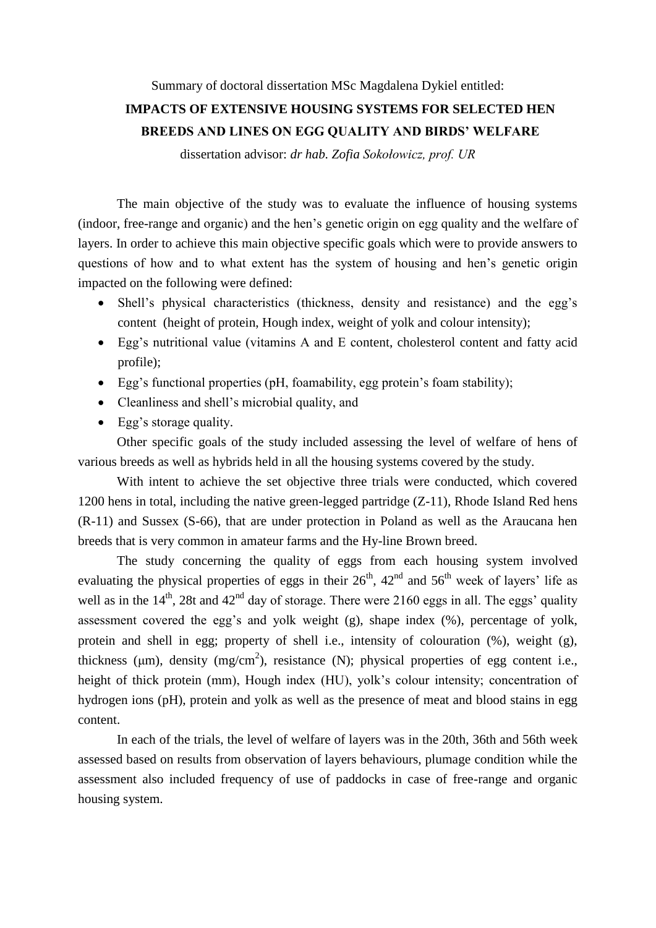## Summary of doctoral dissertation MSc Magdalena Dykiel entitled:

## **IMPACTS OF EXTENSIVE HOUSING SYSTEMS FOR SELECTED HEN**

## **BREEDS AND LINES ON EGG QUALITY AND BIRDS' WELFARE**

dissertation advisor: *dr hab. Zofia Sokołowicz, prof. UR*

The main objective of the study was to evaluate the influence of housing systems (indoor, free-range and organic) and the hen's genetic origin on egg quality and the welfare of layers. In order to achieve this main objective specific goals which were to provide answers to questions of how and to what extent has the system of housing and hen's genetic origin impacted on the following were defined:

- Shell's physical characteristics (thickness, density and resistance) and the egg's content (height of protein, Hough index, weight of yolk and colour intensity);
- Egg's nutritional value (vitamins A and E content, cholesterol content and fatty acid profile);
- Egg's functional properties (pH, foamability, egg protein's foam stability);
- Cleanliness and shell's microbial quality, and
- Egg's storage quality.

Other specific goals of the study included assessing the level of welfare of hens of various breeds as well as hybrids held in all the housing systems covered by the study.

With intent to achieve the set objective three trials were conducted, which covered 1200 hens in total, including the native green-legged partridge (Z-11), Rhode Island Red hens (R-11) and Sussex (S-66), that are under protection in Poland as well as the Araucana hen breeds that is very common in amateur farms and the Hy-line Brown breed.

The study concerning the quality of eggs from each housing system involved evaluating the physical properties of eggs in their  $26<sup>th</sup>$ ,  $42<sup>nd</sup>$  and  $56<sup>th</sup>$  week of layers' life as well as in the  $14<sup>th</sup>$ , 28t and  $42<sup>nd</sup>$  day of storage. There were 2160 eggs in all. The eggs' quality assessment covered the egg's and yolk weight (g), shape index (%), percentage of yolk, protein and shell in egg; property of shell i.e., intensity of colouration (%), weight (g), thickness ( $\mu$ m), density (mg/cm<sup>2</sup>), resistance (N); physical properties of egg content i.e., height of thick protein (mm), Hough index (HU), yolk's colour intensity; concentration of hydrogen ions (pH), protein and yolk as well as the presence of meat and blood stains in egg content.

In each of the trials, the level of welfare of layers was in the 20th, 36th and 56th week assessed based on results from observation of layers behaviours, plumage condition while the assessment also included frequency of use of paddocks in case of free-range and organic housing system.